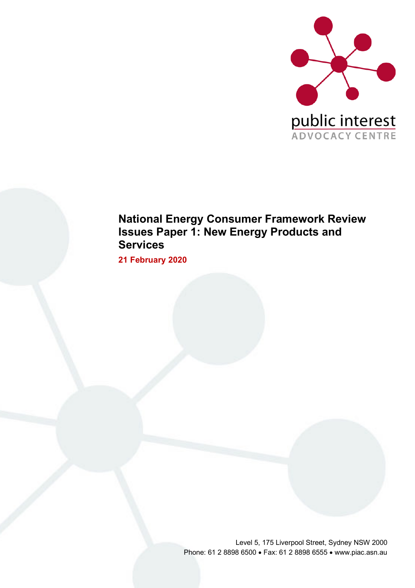

# **National Energy Consumer Framework Review Issues Paper 1: New Energy Products and Services**

**21 February 2020**

Level 5, 175 Liverpool Street, Sydney NSW 2000 Phone: 61 2 8898 6500 • Fax: 61 2 8898 6555 • www.piac.asn.au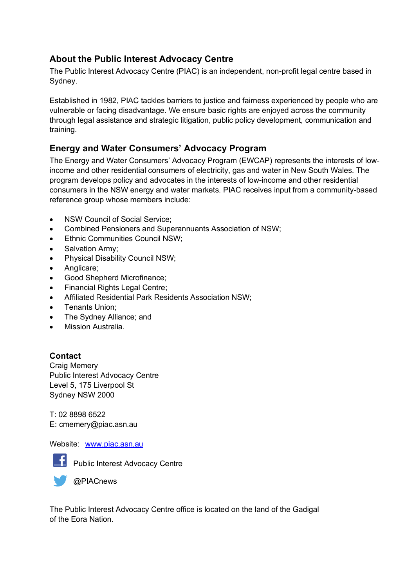# **About the Public Interest Advocacy Centre**

The Public Interest Advocacy Centre (PIAC) is an independent, non-profit legal centre based in Sydney.

Established in 1982, PIAC tackles barriers to justice and fairness experienced by people who are vulnerable or facing disadvantage. We ensure basic rights are enjoyed across the community through legal assistance and strategic litigation, public policy development, communication and training.

# **Energy and Water Consumers' Advocacy Program**

The Energy and Water Consumers' Advocacy Program (EWCAP) represents the interests of lowincome and other residential consumers of electricity, gas and water in New South Wales. The program develops policy and advocates in the interests of low-income and other residential consumers in the NSW energy and water markets. PIAC receives input from a community-based reference group whose members include:

- NSW Council of Social Service:
- Combined Pensioners and Superannuants Association of NSW;
- Ethnic Communities Council NSW;
- Salvation Army;
- Physical Disability Council NSW;
- Anglicare;
- Good Shepherd Microfinance;
- Financial Rights Legal Centre;
- Affiliated Residential Park Residents Association NSW;
- Tenants Union;
- The Sydney Alliance; and
- Mission Australia.

# **Contact**

Craig Memery Public Interest Advocacy Centre Level 5, 175 Liverpool St Sydney NSW 2000

T: 02 8898 6522 E: cmemery@piac.asn.au

#### Website: www.piac.asn.au



**F** Public Interest Advocacy Centre



The Public Interest Advocacy Centre office is located on the land of the Gadigal of the Eora Nation.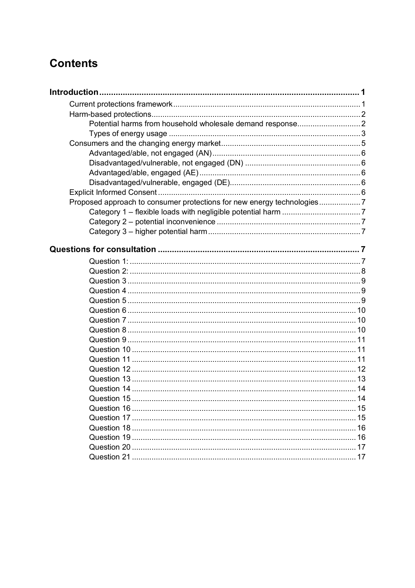# **Contents**

| Proposed approach to consumer protections for new energy technologies7 |  |
|------------------------------------------------------------------------|--|
|                                                                        |  |
|                                                                        |  |
|                                                                        |  |
|                                                                        |  |
|                                                                        |  |
|                                                                        |  |
|                                                                        |  |
|                                                                        |  |
|                                                                        |  |
|                                                                        |  |
|                                                                        |  |
|                                                                        |  |
|                                                                        |  |
|                                                                        |  |
|                                                                        |  |
|                                                                        |  |
|                                                                        |  |
|                                                                        |  |
|                                                                        |  |
|                                                                        |  |
|                                                                        |  |
|                                                                        |  |
|                                                                        |  |
|                                                                        |  |
|                                                                        |  |
|                                                                        |  |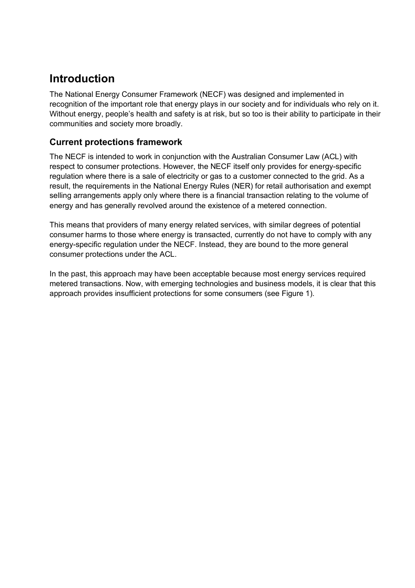# **Introduction**

The National Energy Consumer Framework (NECF) was designed and implemented in recognition of the important role that energy plays in our society and for individuals who rely on it. Without energy, people's health and safety is at risk, but so too is their ability to participate in their communities and society more broadly.

# **Current protections framework**

The NECF is intended to work in conjunction with the Australian Consumer Law (ACL) with respect to consumer protections. However, the NECF itself only provides for energy-specific regulation where there is a sale of electricity or gas to a customer connected to the grid. As a result, the requirements in the National Energy Rules (NER) for retail authorisation and exempt selling arrangements apply only where there is a financial transaction relating to the volume of energy and has generally revolved around the existence of a metered connection.

This means that providers of many energy related services, with similar degrees of potential consumer harms to those where energy is transacted, currently do not have to comply with any energy-specific regulation under the NECF. Instead, they are bound to the more general consumer protections under the ACL.

In the past, this approach may have been acceptable because most energy services required metered transactions. Now, with emerging technologies and business models, it is clear that this approach provides insufficient protections for some consumers (see Figure 1).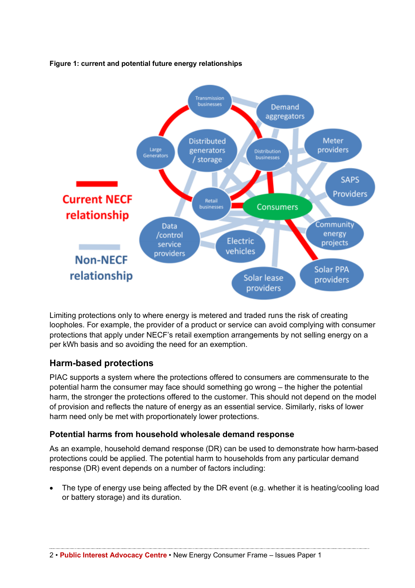

#### **Figure 1: current and potential future energy relationships**

Limiting protections only to where energy is metered and traded runs the risk of creating loopholes. For example, the provider of a product or service can avoid complying with consumer protections that apply under NECF's retail exemption arrangements by not selling energy on a per kWh basis and so avoiding the need for an exemption.

# **Harm-based protections**

PIAC supports a system where the protections offered to consumers are commensurate to the potential harm the consumer may face should something go wrong – the higher the potential harm, the stronger the protections offered to the customer. This should not depend on the model of provision and reflects the nature of energy as an essential service. Similarly, risks of lower harm need only be met with proportionately lower protections.

# **Potential harms from household wholesale demand response**

As an example, household demand response (DR) can be used to demonstrate how harm-based protections could be applied. The potential harm to households from any particular demand response (DR) event depends on a number of factors including:

• The type of energy use being affected by the DR event (e.g. whether it is heating/cooling load or battery storage) and its duration.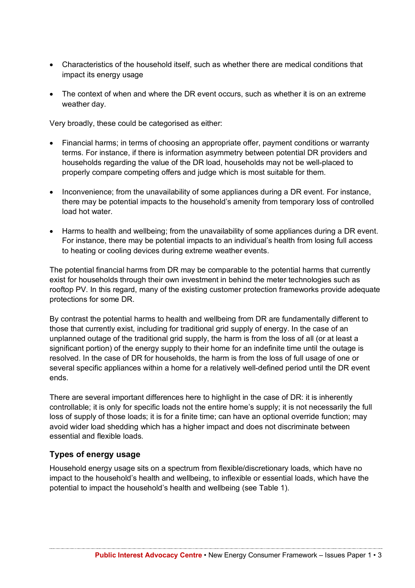- Characteristics of the household itself, such as whether there are medical conditions that impact its energy usage
- The context of when and where the DR event occurs, such as whether it is on an extreme weather day.

Very broadly, these could be categorised as either:

- Financial harms; in terms of choosing an appropriate offer, payment conditions or warranty terms. For instance, if there is information asymmetry between potential DR providers and households regarding the value of the DR load, households may not be well-placed to properly compare competing offers and judge which is most suitable for them.
- Inconvenience; from the unavailability of some appliances during a DR event. For instance, there may be potential impacts to the household's amenity from temporary loss of controlled load hot water.
- Harms to health and wellbeing; from the unavailability of some appliances during a DR event. For instance, there may be potential impacts to an individual's health from losing full access to heating or cooling devices during extreme weather events.

The potential financial harms from DR may be comparable to the potential harms that currently exist for households through their own investment in behind the meter technologies such as rooftop PV. In this regard, many of the existing customer protection frameworks provide adequate protections for some DR.

By contrast the potential harms to health and wellbeing from DR are fundamentally different to those that currently exist, including for traditional grid supply of energy. In the case of an unplanned outage of the traditional grid supply, the harm is from the loss of all (or at least a significant portion) of the energy supply to their home for an indefinite time until the outage is resolved. In the case of DR for households, the harm is from the loss of full usage of one or several specific appliances within a home for a relatively well-defined period until the DR event ends.

There are several important differences here to highlight in the case of DR: it is inherently controllable; it is only for specific loads not the entire home's supply; it is not necessarily the full loss of supply of those loads; it is for a finite time; can have an optional override function; may avoid wider load shedding which has a higher impact and does not discriminate between essential and flexible loads.

#### **Types of energy usage**

Household energy usage sits on a spectrum from flexible/discretionary loads, which have no impact to the household's health and wellbeing, to inflexible or essential loads, which have the potential to impact the household's health and wellbeing (see Table 1).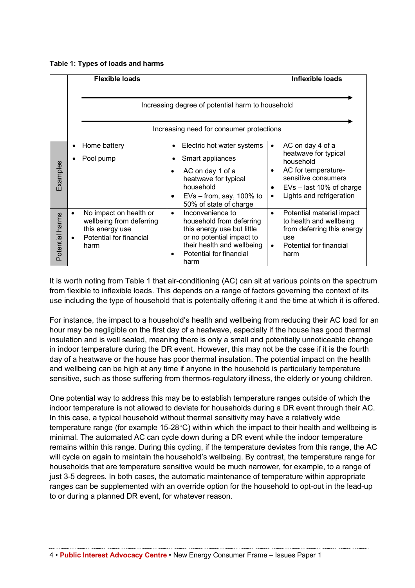|  |  |  | Table 1: Types of loads and harms |
|--|--|--|-----------------------------------|
|--|--|--|-----------------------------------|

|                 | <b>Flexible loads</b>                                                                                    |                                                                                                                                                                                       | <b>Inflexible loads</b>                                                                                                                                                                      |
|-----------------|----------------------------------------------------------------------------------------------------------|---------------------------------------------------------------------------------------------------------------------------------------------------------------------------------------|----------------------------------------------------------------------------------------------------------------------------------------------------------------------------------------------|
|                 |                                                                                                          | Increasing degree of potential harm to household                                                                                                                                      |                                                                                                                                                                                              |
|                 |                                                                                                          | Increasing need for consumer protections                                                                                                                                              |                                                                                                                                                                                              |
| <b>Examples</b> | Home battery<br>Pool pump                                                                                | Electric hot water systems<br>Smart appliances<br>AC on day 1 of a<br>heatwave for typical<br>household<br>$EVs - from$ , say, 100% to<br>50% of state of charge                      | AC on day 4 of a<br>$\bullet$<br>heatwave for typical<br>household<br>AC for temperature-<br>sensitive consumers<br>$EVs - last 10%$ of charge<br>٠<br>Lights and refrigeration<br>$\bullet$ |
| Potential harms | No impact on health or<br>wellbeing from deferring<br>this energy use<br>Potential for financial<br>harm | Inconvenience to<br>$\bullet$<br>household from deferring<br>this energy use but little<br>or no potential impact to<br>their health and wellbeing<br>Potential for financial<br>harm | Potential material impact<br>$\bullet$<br>to health and wellbeing<br>from deferring this energy<br>use<br>Potential for financial<br>$\bullet$<br>harm                                       |

It is worth noting from Table 1 that air-conditioning (AC) can sit at various points on the spectrum from flexible to inflexible loads. This depends on a range of factors governing the context of its use including the type of household that is potentially offering it and the time at which it is offered.

For instance, the impact to a household's health and wellbeing from reducing their AC load for an hour may be negligible on the first day of a heatwave, especially if the house has good thermal insulation and is well sealed, meaning there is only a small and potentially unnoticeable change in indoor temperature during the DR event. However, this may not be the case if it is the fourth day of a heatwave or the house has poor thermal insulation. The potential impact on the health and wellbeing can be high at any time if anyone in the household is particularly temperature sensitive, such as those suffering from thermos-regulatory illness, the elderly or young children.

One potential way to address this may be to establish temperature ranges outside of which the indoor temperature is not allowed to deviate for households during a DR event through their AC. In this case, a typical household without thermal sensitivity may have a relatively wide temperature range (for example 15-28°C) within which the impact to their health and wellbeing is minimal. The automated AC can cycle down during a DR event while the indoor temperature remains within this range. During this cycling, if the temperature deviates from this range, the AC will cycle on again to maintain the household's wellbeing. By contrast, the temperature range for households that are temperature sensitive would be much narrower, for example, to a range of just 3-5 degrees. In both cases, the automatic maintenance of temperature within appropriate ranges can be supplemented with an override option for the household to opt-out in the lead-up to or during a planned DR event, for whatever reason.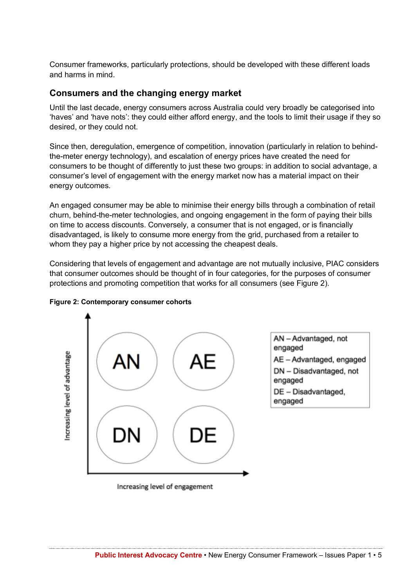Consumer frameworks, particularly protections, should be developed with these different loads and harms in mind.

## **Consumers and the changing energy market**

Until the last decade, energy consumers across Australia could very broadly be categorised into 'haves' and 'have nots': they could either afford energy, and the tools to limit their usage if they so desired, or they could not.

Since then, deregulation, emergence of competition, innovation (particularly in relation to behindthe-meter energy technology), and escalation of energy prices have created the need for consumers to be thought of differently to just these two groups: in addition to social advantage, a consumer's level of engagement with the energy market now has a material impact on their energy outcomes.

An engaged consumer may be able to minimise their energy bills through a combination of retail churn, behind-the-meter technologies, and ongoing engagement in the form of paying their bills on time to access discounts. Conversely, a consumer that is not engaged, or is financially disadvantaged, is likely to consume more energy from the grid, purchased from a retailer to whom they pay a higher price by not accessing the cheapest deals.

Considering that levels of engagement and advantage are not mutually inclusive, PIAC considers that consumer outcomes should be thought of in four categories, for the purposes of consumer protections and promoting competition that works for all consumers (see Figure 2).





Increasing level of engagement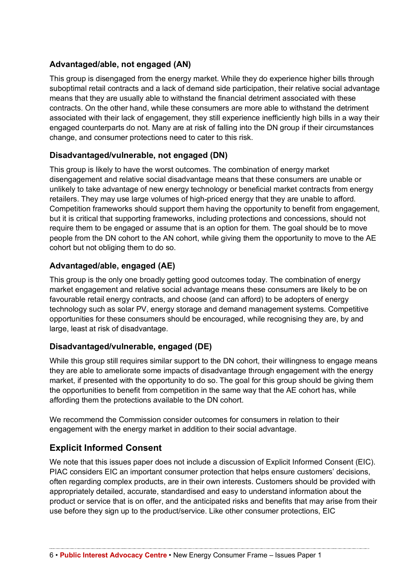# **Advantaged/able, not engaged (AN)**

This group is disengaged from the energy market. While they do experience higher bills through suboptimal retail contracts and a lack of demand side participation, their relative social advantage means that they are usually able to withstand the financial detriment associated with these contracts. On the other hand, while these consumers are more able to withstand the detriment associated with their lack of engagement, they still experience inefficiently high bills in a way their engaged counterparts do not. Many are at risk of falling into the DN group if their circumstances change, and consumer protections need to cater to this risk.

# **Disadvantaged/vulnerable, not engaged (DN)**

This group is likely to have the worst outcomes. The combination of energy market disengagement and relative social disadvantage means that these consumers are unable or unlikely to take advantage of new energy technology or beneficial market contracts from energy retailers. They may use large volumes of high-priced energy that they are unable to afford. Competition frameworks should support them having the opportunity to benefit from engagement, but it is critical that supporting frameworks, including protections and concessions, should not require them to be engaged or assume that is an option for them. The goal should be to move people from the DN cohort to the AN cohort, while giving them the opportunity to move to the AE cohort but not obliging them to do so.

# **Advantaged/able, engaged (AE)**

This group is the only one broadly getting good outcomes today. The combination of energy market engagement and relative social advantage means these consumers are likely to be on favourable retail energy contracts, and choose (and can afford) to be adopters of energy technology such as solar PV, energy storage and demand management systems. Competitive opportunities for these consumers should be encouraged, while recognising they are, by and large, least at risk of disadvantage.

# **Disadvantaged/vulnerable, engaged (DE)**

While this group still requires similar support to the DN cohort, their willingness to engage means they are able to ameliorate some impacts of disadvantage through engagement with the energy market, if presented with the opportunity to do so. The goal for this group should be giving them the opportunities to benefit from competition in the same way that the AE cohort has, while affording them the protections available to the DN cohort.

We recommend the Commission consider outcomes for consumers in relation to their engagement with the energy market in addition to their social advantage.

# **Explicit Informed Consent**

We note that this issues paper does not include a discussion of Explicit Informed Consent (EIC). PIAC considers EIC an important consumer protection that helps ensure customers' decisions, often regarding complex products, are in their own interests. Customers should be provided with appropriately detailed, accurate, standardised and easy to understand information about the product or service that is on offer, and the anticipated risks and benefits that may arise from their use before they sign up to the product/service. Like other consumer protections, EIC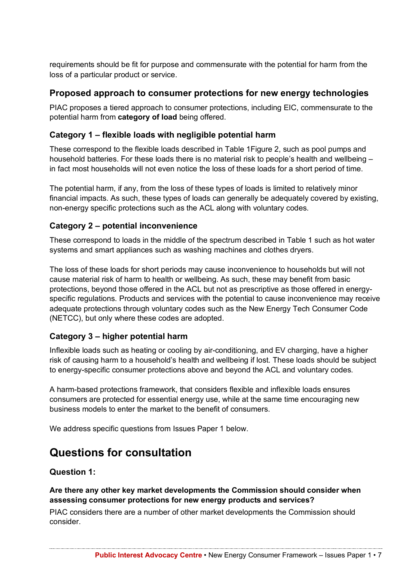requirements should be fit for purpose and commensurate with the potential for harm from the loss of a particular product or service.

# **Proposed approach to consumer protections for new energy technologies**

PIAC proposes a tiered approach to consumer protections, including EIC, commensurate to the potential harm from **category of load** being offered.

## **Category 1 – flexible loads with negligible potential harm**

These correspond to the flexible loads described in Table 1Figure 2, such as pool pumps and household batteries. For these loads there is no material risk to people's health and wellbeing – in fact most households will not even notice the loss of these loads for a short period of time.

The potential harm, if any, from the loss of these types of loads is limited to relatively minor financial impacts. As such, these types of loads can generally be adequately covered by existing, non-energy specific protections such as the ACL along with voluntary codes.

# **Category 2 – potential inconvenience**

These correspond to loads in the middle of the spectrum described in Table 1 such as hot water systems and smart appliances such as washing machines and clothes dryers.

The loss of these loads for short periods may cause inconvenience to households but will not cause material risk of harm to health or wellbeing. As such, these may benefit from basic protections, beyond those offered in the ACL but not as prescriptive as those offered in energyspecific regulations. Products and services with the potential to cause inconvenience may receive adequate protections through voluntary codes such as the New Energy Tech Consumer Code (NETCC), but only where these codes are adopted.

# **Category 3 – higher potential harm**

Inflexible loads such as heating or cooling by air-conditioning, and EV charging, have a higher risk of causing harm to a household's health and wellbeing if lost. These loads should be subject to energy-specific consumer protections above and beyond the ACL and voluntary codes.

A harm-based protections framework, that considers flexible and inflexible loads ensures consumers are protected for essential energy use, while at the same time encouraging new business models to enter the market to the benefit of consumers.

We address specific questions from Issues Paper 1 below.

# **Questions for consultation**

#### **Question 1:**

**Are there any other key market developments the Commission should consider when assessing consumer protections for new energy products and services?** 

PIAC considers there are a number of other market developments the Commission should consider.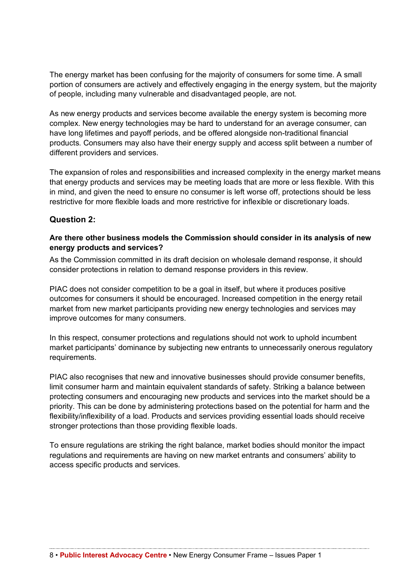The energy market has been confusing for the majority of consumers for some time. A small portion of consumers are actively and effectively engaging in the energy system, but the majority of people, including many vulnerable and disadvantaged people, are not.

As new energy products and services become available the energy system is becoming more complex. New energy technologies may be hard to understand for an average consumer, can have long lifetimes and payoff periods, and be offered alongside non-traditional financial products. Consumers may also have their energy supply and access split between a number of different providers and services.

The expansion of roles and responsibilities and increased complexity in the energy market means that energy products and services may be meeting loads that are more or less flexible. With this in mind, and given the need to ensure no consumer is left worse off, protections should be less restrictive for more flexible loads and more restrictive for inflexible or discretionary loads.

## **Question 2:**

#### **Are there other business models the Commission should consider in its analysis of new energy products and services?**

As the Commission committed in its draft decision on wholesale demand response, it should consider protections in relation to demand response providers in this review.

PIAC does not consider competition to be a goal in itself, but where it produces positive outcomes for consumers it should be encouraged. Increased competition in the energy retail market from new market participants providing new energy technologies and services may improve outcomes for many consumers.

In this respect, consumer protections and regulations should not work to uphold incumbent market participants' dominance by subjecting new entrants to unnecessarily onerous regulatory requirements.

PIAC also recognises that new and innovative businesses should provide consumer benefits, limit consumer harm and maintain equivalent standards of safety. Striking a balance between protecting consumers and encouraging new products and services into the market should be a priority. This can be done by administering protections based on the potential for harm and the flexibility/inflexibility of a load. Products and services providing essential loads should receive stronger protections than those providing flexible loads.

To ensure regulations are striking the right balance, market bodies should monitor the impact regulations and requirements are having on new market entrants and consumers' ability to access specific products and services.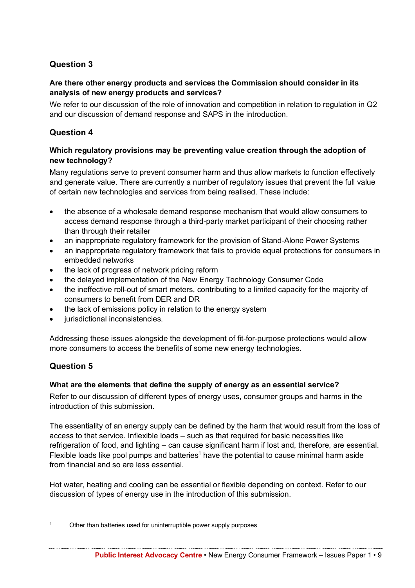## **Question 3**

#### **Are there other energy products and services the Commission should consider in its analysis of new energy products and services?**

We refer to our discussion of the role of innovation and competition in relation to regulation in Q2 and our discussion of demand response and SAPS in the introduction.

#### **Question 4**

#### **Which regulatory provisions may be preventing value creation through the adoption of new technology?**

Many regulations serve to prevent consumer harm and thus allow markets to function effectively and generate value. There are currently a number of regulatory issues that prevent the full value of certain new technologies and services from being realised. These include:

- the absence of a wholesale demand response mechanism that would allow consumers to access demand response through a third-party market participant of their choosing rather than through their retailer
- an inappropriate regulatory framework for the provision of Stand-Alone Power Systems
- an inappropriate regulatory framework that fails to provide equal protections for consumers in embedded networks
- the lack of progress of network pricing reform
- the delayed implementation of the New Energy Technology Consumer Code
- the ineffective roll-out of smart meters, contributing to a limited capacity for the majority of consumers to benefit from DER and DR
- the lack of emissions policy in relation to the energy system
- iurisdictional inconsistencies.

Addressing these issues alongside the development of fit-for-purpose protections would allow more consumers to access the benefits of some new energy technologies.

# **Question 5**

#### **What are the elements that define the supply of energy as an essential service?**

Refer to our discussion of different types of energy uses, consumer groups and harms in the introduction of this submission.

The essentiality of an energy supply can be defined by the harm that would result from the loss of access to that service. Inflexible loads – such as that required for basic necessities like refrigeration of food, and lighting – can cause significant harm if lost and, therefore, are essential. Flexible loads like pool pumps and batteries<sup>1</sup> have the potential to cause minimal harm aside from financial and so are less essential.

Hot water, heating and cooling can be essential or flexible depending on context. Refer to our discussion of types of energy use in the introduction of this submission.

 <sup>1</sup> Other than batteries used for uninterruptible power supply purposes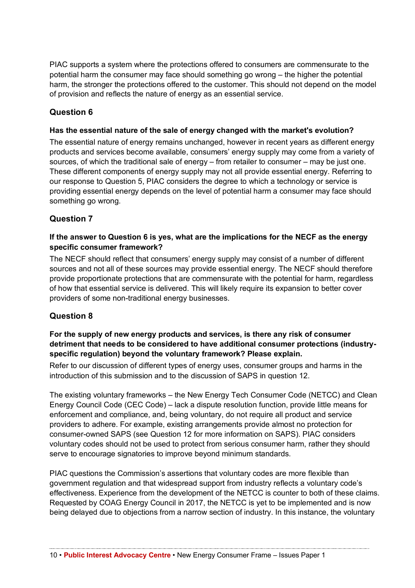PIAC supports a system where the protections offered to consumers are commensurate to the potential harm the consumer may face should something go wrong – the higher the potential harm, the stronger the protections offered to the customer. This should not depend on the model of provision and reflects the nature of energy as an essential service.

# **Question 6**

#### **Has the essential nature of the sale of energy changed with the market's evolution?**

The essential nature of energy remains unchanged, however in recent years as different energy products and services become available, consumers' energy supply may come from a variety of sources, of which the traditional sale of energy – from retailer to consumer – may be just one. These different components of energy supply may not all provide essential energy. Referring to our response to Question 5, PIAC considers the degree to which a technology or service is providing essential energy depends on the level of potential harm a consumer may face should something go wrong.

## **Question 7**

#### **If the answer to Question 6 is yes, what are the implications for the NECF as the energy specific consumer framework?**

The NECF should reflect that consumers' energy supply may consist of a number of different sources and not all of these sources may provide essential energy. The NECF should therefore provide proportionate protections that are commensurate with the potential for harm, regardless of how that essential service is delivered. This will likely require its expansion to better cover providers of some non-traditional energy businesses.

#### **Question 8**

#### **For the supply of new energy products and services, is there any risk of consumer detriment that needs to be considered to have additional consumer protections (industryspecific regulation) beyond the voluntary framework? Please explain.**

Refer to our discussion of different types of energy uses, consumer groups and harms in the introduction of this submission and to the discussion of SAPS in question 12.

The existing voluntary frameworks – the New Energy Tech Consumer Code (NETCC) and Clean Energy Council Code (CEC Code) – lack a dispute resolution function, provide little means for enforcement and compliance, and, being voluntary, do not require all product and service providers to adhere. For example, existing arrangements provide almost no protection for consumer-owned SAPS (see Question 12 for more information on SAPS). PIAC considers voluntary codes should not be used to protect from serious consumer harm, rather they should serve to encourage signatories to improve beyond minimum standards.

PIAC questions the Commission's assertions that voluntary codes are more flexible than government regulation and that widespread support from industry reflects a voluntary code's effectiveness. Experience from the development of the NETCC is counter to both of these claims. Requested by COAG Energy Council in 2017, the NETCC is yet to be implemented and is now being delayed due to objections from a narrow section of industry. In this instance, the voluntary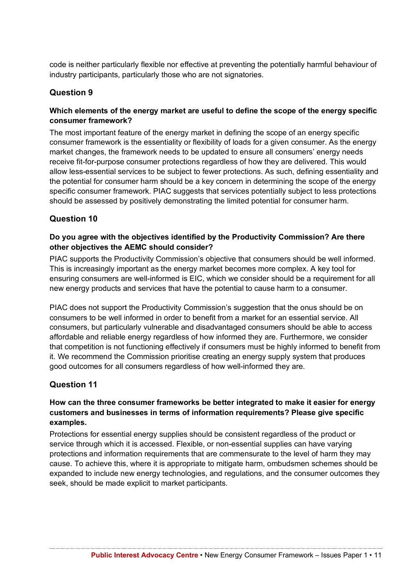code is neither particularly flexible nor effective at preventing the potentially harmful behaviour of industry participants, particularly those who are not signatories.

## **Question 9**

### **Which elements of the energy market are useful to define the scope of the energy specific consumer framework?**

The most important feature of the energy market in defining the scope of an energy specific consumer framework is the essentiality or flexibility of loads for a given consumer. As the energy market changes, the framework needs to be updated to ensure all consumers' energy needs receive fit-for-purpose consumer protections regardless of how they are delivered. This would allow less-essential services to be subject to fewer protections. As such, defining essentiality and the potential for consumer harm should be a key concern in determining the scope of the energy specific consumer framework. PIAC suggests that services potentially subject to less protections should be assessed by positively demonstrating the limited potential for consumer harm.

## **Question 10**

#### **Do you agree with the objectives identified by the Productivity Commission? Are there other objectives the AEMC should consider?**

PIAC supports the Productivity Commission's objective that consumers should be well informed. This is increasingly important as the energy market becomes more complex. A key tool for ensuring consumers are well-informed is EIC, which we consider should be a requirement for all new energy products and services that have the potential to cause harm to a consumer.

PIAC does not support the Productivity Commission's suggestion that the onus should be on consumers to be well informed in order to benefit from a market for an essential service. All consumers, but particularly vulnerable and disadvantaged consumers should be able to access affordable and reliable energy regardless of how informed they are. Furthermore, we consider that competition is not functioning effectively if consumers must be highly informed to benefit from it. We recommend the Commission prioritise creating an energy supply system that produces good outcomes for all consumers regardless of how well-informed they are.

#### **Question 11**

#### **How can the three consumer frameworks be better integrated to make it easier for energy customers and businesses in terms of information requirements? Please give specific examples.**

Protections for essential energy supplies should be consistent regardless of the product or service through which it is accessed. Flexible, or non-essential supplies can have varying protections and information requirements that are commensurate to the level of harm they may cause. To achieve this, where it is appropriate to mitigate harm, ombudsmen schemes should be expanded to include new energy technologies, and regulations, and the consumer outcomes they seek, should be made explicit to market participants.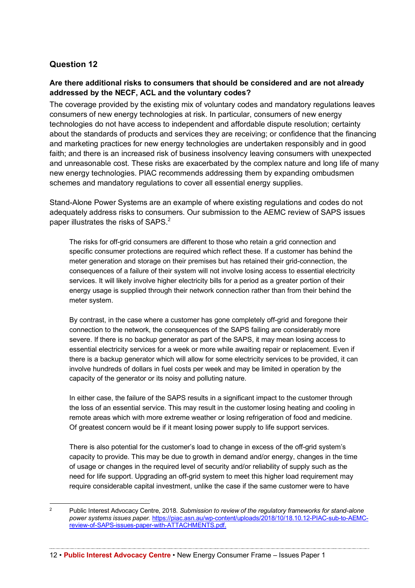## **Question 12**

#### **Are there additional risks to consumers that should be considered and are not already addressed by the NECF, ACL and the voluntary codes?**

The coverage provided by the existing mix of voluntary codes and mandatory regulations leaves consumers of new energy technologies at risk. In particular, consumers of new energy technologies do not have access to independent and affordable dispute resolution; certainty about the standards of products and services they are receiving; or confidence that the financing and marketing practices for new energy technologies are undertaken responsibly and in good faith; and there is an increased risk of business insolvency leaving consumers with unexpected and unreasonable cost. These risks are exacerbated by the complex nature and long life of many new energy technologies. PIAC recommends addressing them by expanding ombudsmen schemes and mandatory regulations to cover all essential energy supplies.

Stand-Alone Power Systems are an example of where existing regulations and codes do not adequately address risks to consumers. Our submission to the AEMC review of SAPS issues paper illustrates the risks of SAPS.<sup>2</sup>

The risks for off-grid consumers are different to those who retain a grid connection and specific consumer protections are required which reflect these. If a customer has behind the meter generation and storage on their premises but has retained their grid-connection, the consequences of a failure of their system will not involve losing access to essential electricity services. It will likely involve higher electricity bills for a period as a greater portion of their energy usage is supplied through their network connection rather than from their behind the meter system.

By contrast, in the case where a customer has gone completely off-grid and foregone their connection to the network, the consequences of the SAPS failing are considerably more severe. If there is no backup generator as part of the SAPS, it may mean losing access to essential electricity services for a week or more while awaiting repair or replacement. Even if there is a backup generator which will allow for some electricity services to be provided, it can involve hundreds of dollars in fuel costs per week and may be limited in operation by the capacity of the generator or its noisy and polluting nature.

In either case, the failure of the SAPS results in a significant impact to the customer through the loss of an essential service. This may result in the customer losing heating and cooling in remote areas which with more extreme weather or losing refrigeration of food and medicine. Of greatest concern would be if it meant losing power supply to life support services.

There is also potential for the customer's load to change in excess of the off-grid system's capacity to provide. This may be due to growth in demand and/or energy, changes in the time of usage or changes in the required level of security and/or reliability of supply such as the need for life support. Upgrading an off-grid system to meet this higher load requirement may require considerable capital investment, unlike the case if the same customer were to have

 <sup>2</sup> Public Interest Advocacy Centre, 2018. *Submission to review of the regulatory frameworks for stand-alone power systems issues paper.* https://piac.asn.au/wp-content/uploads/2018/10/18.10.12-PIAC-sub-to-AEMCreview-of-SAPS-issues-paper-with-ATTACHMENTS.pdf.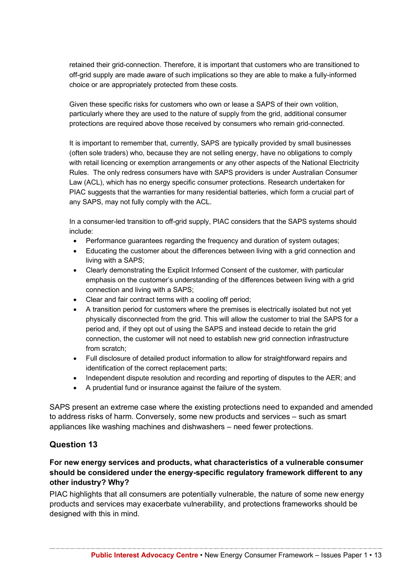retained their grid-connection. Therefore, it is important that customers who are transitioned to off-grid supply are made aware of such implications so they are able to make a fully-informed choice or are appropriately protected from these costs.

Given these specific risks for customers who own or lease a SAPS of their own volition, particularly where they are used to the nature of supply from the grid, additional consumer protections are required above those received by consumers who remain grid-connected.

It is important to remember that, currently, SAPS are typically provided by small businesses (often sole traders) who, because they are not selling energy, have no obligations to comply with retail licencing or exemption arrangements or any other aspects of the National Electricity Rules. The only redress consumers have with SAPS providers is under Australian Consumer Law (ACL), which has no energy specific consumer protections. Research undertaken for PIAC suggests that the warranties for many residential batteries, which form a crucial part of any SAPS, may not fully comply with the ACL.

In a consumer-led transition to off-grid supply, PIAC considers that the SAPS systems should include:

- Performance quarantees regarding the frequency and duration of system outages;
- Educating the customer about the differences between living with a grid connection and living with a SAPS;
- Clearly demonstrating the Explicit Informed Consent of the customer, with particular emphasis on the customer's understanding of the differences between living with a grid connection and living with a SAPS;
- Clear and fair contract terms with a cooling off period;
- A transition period for customers where the premises is electrically isolated but not yet physically disconnected from the grid. This will allow the customer to trial the SAPS for a period and, if they opt out of using the SAPS and instead decide to retain the grid connection, the customer will not need to establish new grid connection infrastructure from scratch;
- Full disclosure of detailed product information to allow for straightforward repairs and identification of the correct replacement parts;
- Independent dispute resolution and recording and reporting of disputes to the AER; and
- A prudential fund or insurance against the failure of the system.

SAPS present an extreme case where the existing protections need to expanded and amended to address risks of harm. Conversely, some new products and services – such as smart appliances like washing machines and dishwashers – need fewer protections.

#### **Question 13**

#### **For new energy services and products, what characteristics of a vulnerable consumer should be considered under the energy-specific regulatory framework different to any other industry? Why?**

PIAC highlights that all consumers are potentially vulnerable, the nature of some new energy products and services may exacerbate vulnerability, and protections frameworks should be designed with this in mind.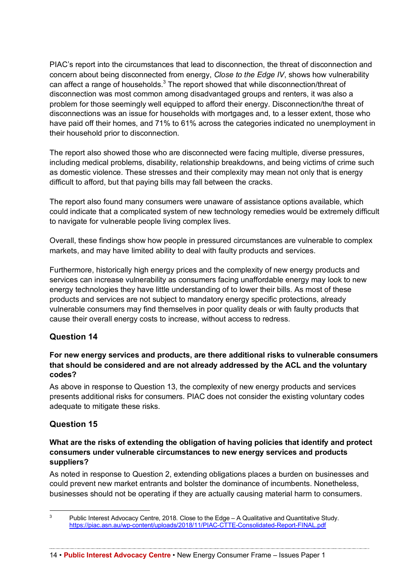PIAC's report into the circumstances that lead to disconnection, the threat of disconnection and concern about being disconnected from energy, *Close to the Edge IV*, shows how vulnerability can affect a range of households.<sup>3</sup> The report showed that while disconnection/threat of disconnection was most common among disadvantaged groups and renters, it was also a problem for those seemingly well equipped to afford their energy. Disconnection/the threat of disconnections was an issue for households with mortgages and, to a lesser extent, those who have paid off their homes, and 71% to 61% across the categories indicated no unemployment in their household prior to disconnection.

The report also showed those who are disconnected were facing multiple, diverse pressures, including medical problems, disability, relationship breakdowns, and being victims of crime such as domestic violence. These stresses and their complexity may mean not only that is energy difficult to afford, but that paying bills may fall between the cracks.

The report also found many consumers were unaware of assistance options available, which could indicate that a complicated system of new technology remedies would be extremely difficult to navigate for vulnerable people living complex lives.

Overall, these findings show how people in pressured circumstances are vulnerable to complex markets, and may have limited ability to deal with faulty products and services.

Furthermore, historically high energy prices and the complexity of new energy products and services can increase vulnerability as consumers facing unaffordable energy may look to new energy technologies they have little understanding of to lower their bills. As most of these products and services are not subject to mandatory energy specific protections, already vulnerable consumers may find themselves in poor quality deals or with faulty products that cause their overall energy costs to increase, without access to redress.

# **Question 14**

#### **For new energy services and products, are there additional risks to vulnerable consumers that should be considered and are not already addressed by the ACL and the voluntary codes?**

As above in response to Question 13, the complexity of new energy products and services presents additional risks for consumers. PIAC does not consider the existing voluntary codes adequate to mitigate these risks.

#### **Question 15**

#### **What are the risks of extending the obligation of having policies that identify and protect consumers under vulnerable circumstances to new energy services and products suppliers?**

As noted in response to Question 2, extending obligations places a burden on businesses and could prevent new market entrants and bolster the dominance of incumbents. Nonetheless, businesses should not be operating if they are actually causing material harm to consumers.

<sup>&</sup>lt;sup>3</sup> Public Interest Advocacy Centre, 2018. Close to the Edge – A Qualitative and Quantitative Study. https://piac.asn.au/wp-content/uploads/2018/11/PIAC-CTTE-Consolidated-Report-FINAL.pdf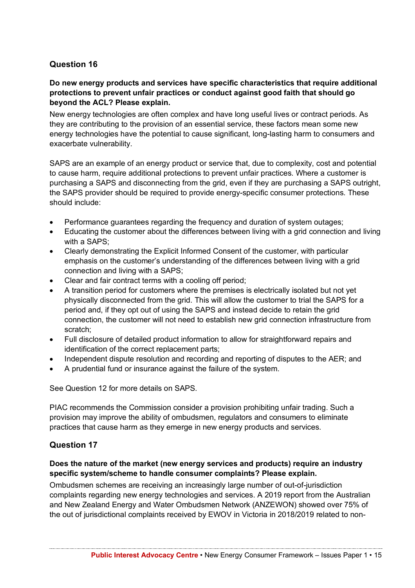## **Question 16**

#### **Do new energy products and services have specific characteristics that require additional protections to prevent unfair practices or conduct against good faith that should go beyond the ACL? Please explain.**

New energy technologies are often complex and have long useful lives or contract periods. As they are contributing to the provision of an essential service, these factors mean some new energy technologies have the potential to cause significant, long-lasting harm to consumers and exacerbate vulnerability.

SAPS are an example of an energy product or service that, due to complexity, cost and potential to cause harm, require additional protections to prevent unfair practices. Where a customer is purchasing a SAPS and disconnecting from the grid, even if they are purchasing a SAPS outright, the SAPS provider should be required to provide energy-specific consumer protections. These should include:

- Performance guarantees regarding the frequency and duration of system outages;
- Educating the customer about the differences between living with a grid connection and living with a SAPS:
- Clearly demonstrating the Explicit Informed Consent of the customer, with particular emphasis on the customer's understanding of the differences between living with a grid connection and living with a SAPS;
- Clear and fair contract terms with a cooling off period;
- A transition period for customers where the premises is electrically isolated but not yet physically disconnected from the grid. This will allow the customer to trial the SAPS for a period and, if they opt out of using the SAPS and instead decide to retain the grid connection, the customer will not need to establish new grid connection infrastructure from scratch;
- Full disclosure of detailed product information to allow for straightforward repairs and identification of the correct replacement parts;
- Independent dispute resolution and recording and reporting of disputes to the AER; and
- A prudential fund or insurance against the failure of the system.

See Question 12 for more details on SAPS.

PIAC recommends the Commission consider a provision prohibiting unfair trading. Such a provision may improve the ability of ombudsmen, regulators and consumers to eliminate practices that cause harm as they emerge in new energy products and services.

#### **Question 17**

#### **Does the nature of the market (new energy services and products) require an industry specific system/scheme to handle consumer complaints? Please explain.**

Ombudsmen schemes are receiving an increasingly large number of out-of-jurisdiction complaints regarding new energy technologies and services. A 2019 report from the Australian and New Zealand Energy and Water Ombudsmen Network (ANZEWON) showed over 75% of the out of jurisdictional complaints received by EWOV in Victoria in 2018/2019 related to non-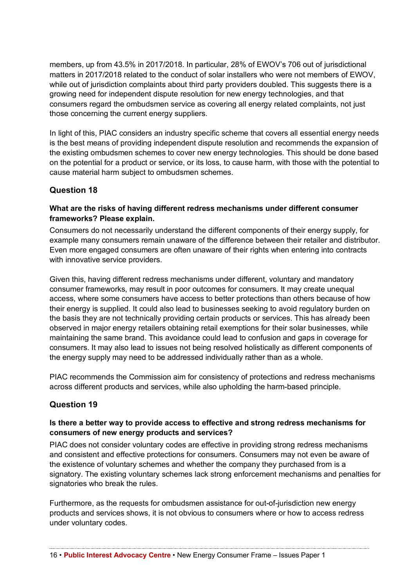members, up from 43.5% in 2017/2018. In particular, 28% of EWOV's 706 out of jurisdictional matters in 2017/2018 related to the conduct of solar installers who were not members of EWOV, while out of jurisdiction complaints about third party providers doubled. This suggests there is a growing need for independent dispute resolution for new energy technologies, and that consumers regard the ombudsmen service as covering all energy related complaints, not just those concerning the current energy suppliers.

In light of this, PIAC considers an industry specific scheme that covers all essential energy needs is the best means of providing independent dispute resolution and recommends the expansion of the existing ombudsmen schemes to cover new energy technologies. This should be done based on the potential for a product or service, or its loss, to cause harm, with those with the potential to cause material harm subject to ombudsmen schemes.

# **Question 18**

### **What are the risks of having different redress mechanisms under different consumer frameworks? Please explain.**

Consumers do not necessarily understand the different components of their energy supply, for example many consumers remain unaware of the difference between their retailer and distributor. Even more engaged consumers are often unaware of their rights when entering into contracts with innovative service providers.

Given this, having different redress mechanisms under different, voluntary and mandatory consumer frameworks, may result in poor outcomes for consumers. It may create unequal access, where some consumers have access to better protections than others because of how their energy is supplied. It could also lead to businesses seeking to avoid regulatory burden on the basis they are not technically providing certain products or services. This has already been observed in major energy retailers obtaining retail exemptions for their solar businesses, while maintaining the same brand. This avoidance could lead to confusion and gaps in coverage for consumers. It may also lead to issues not being resolved holistically as different components of the energy supply may need to be addressed individually rather than as a whole.

PIAC recommends the Commission aim for consistency of protections and redress mechanisms across different products and services, while also upholding the harm-based principle.

# **Question 19**

## **Is there a better way to provide access to effective and strong redress mechanisms for consumers of new energy products and services?**

PIAC does not consider voluntary codes are effective in providing strong redress mechanisms and consistent and effective protections for consumers. Consumers may not even be aware of the existence of voluntary schemes and whether the company they purchased from is a signatory. The existing voluntary schemes lack strong enforcement mechanisms and penalties for signatories who break the rules.

Furthermore, as the requests for ombudsmen assistance for out-of-jurisdiction new energy products and services shows, it is not obvious to consumers where or how to access redress under voluntary codes.